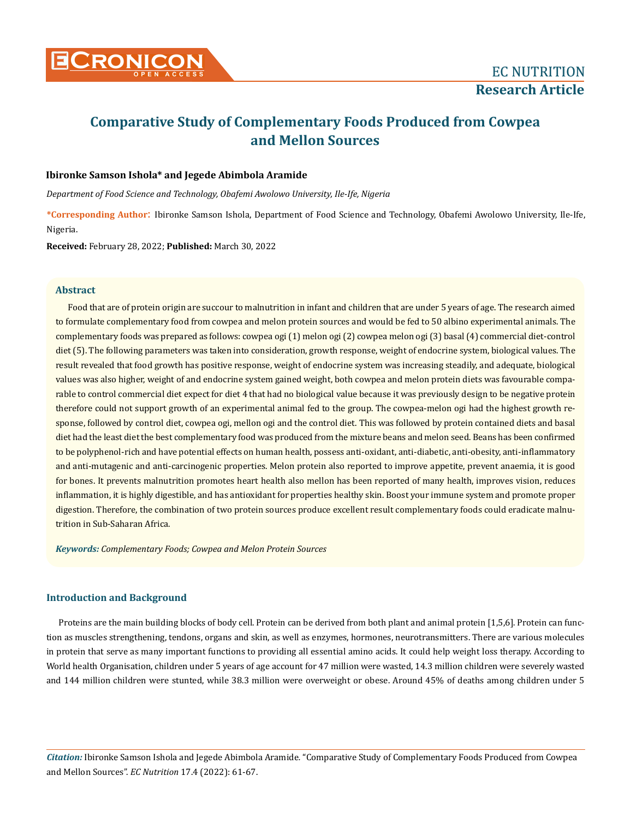

# **Comparative Study of Complementary Foods Produced from Cowpea and Mellon Sources**

# **Ibironke Samson Ishola\* and Jegede Abimbola Aramide**

*Department of Food Science and Technology, Obafemi Awolowo University, Ile-Ife, Nigeria*

**\*Corresponding Author**: Ibironke Samson Ishola, Department of Food Science and Technology, Obafemi Awolowo University, Ile-Ife, Nigeria.

**Received:** February 28, 2022; **Published:** March 30, 2022

### **Abstract**

Food that are of protein origin are succour to malnutrition in infant and children that are under 5 years of age. The research aimed to formulate complementary food from cowpea and melon protein sources and would be fed to 50 albino experimental animals. The complementary foods was prepared as follows: cowpea ogi (1) melon ogi (2) cowpea melon ogi (3) basal (4) commercial diet-control diet (5). The following parameters was taken into consideration, growth response, weight of endocrine system, biological values. The result revealed that food growth has positive response, weight of endocrine system was increasing steadily, and adequate, biological values was also higher, weight of and endocrine system gained weight, both cowpea and melon protein diets was favourable comparable to control commercial diet expect for diet 4 that had no biological value because it was previously design to be negative protein therefore could not support growth of an experimental animal fed to the group. The cowpea-melon ogi had the highest growth response, followed by control diet, cowpea ogi, mellon ogi and the control diet. This was followed by protein contained diets and basal diet had the least diet the best complementary food was produced from the mixture beans and melon seed. Beans has been confirmed to be polyphenol-rich and have potential effects on human health, possess anti-oxidant, anti-diabetic, anti-obesity, anti-inflammatory and anti-mutagenic and anti-carcinogenic properties. Melon protein also reported to improve appetite, prevent anaemia, it is good for bones. It prevents malnutrition promotes heart health also mellon has been reported of many health, improves vision, reduces inflammation, it is highly digestible, and has antioxidant for properties healthy skin. Boost your immune system and promote proper digestion. Therefore, the combination of two protein sources produce excellent result complementary foods could eradicate malnutrition in Sub-Saharan Africa.

*Keywords: Complementary Foods; Cowpea and Melon Protein Sources*

## **Introduction and Background**

Proteins are the main building blocks of body cell. Protein can be derived from both plant and animal protein [1,5,6]. Protein can function as muscles strengthening, tendons, organs and skin, as well as enzymes, hormones, neurotransmitters. There are various molecules in protein that serve as many important functions to providing all essential amino acids. It could help weight loss therapy. According to World health Organisation, children under 5 years of age account for 47 million were wasted, 14.3 million children were severely wasted and 144 million children were stunted, while 38.3 million were overweight or obese. Around 45% of deaths among children under 5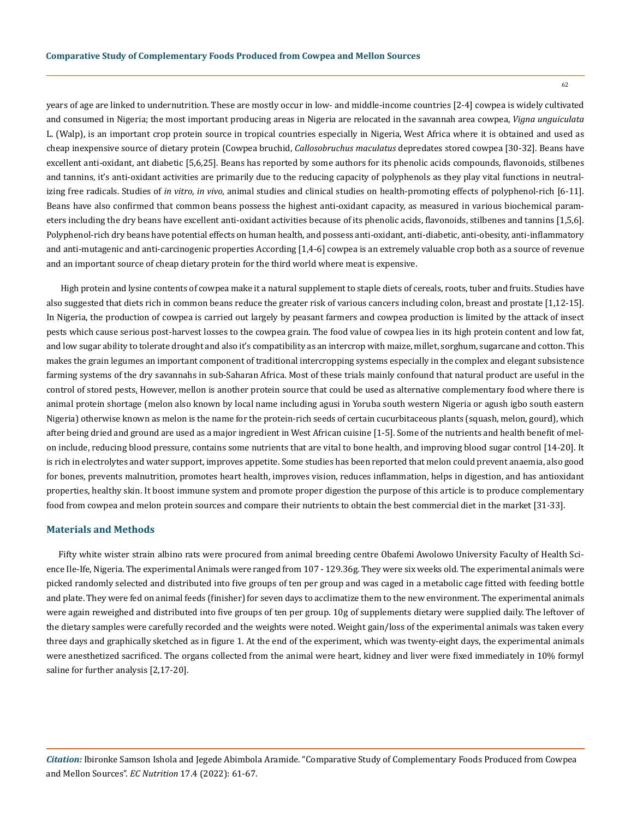years of age are linked to undernutrition. These are mostly occur in low- and middle-income countries [2-4] cowpea is widely cultivated and consumed in Nigeria; the most important producing areas in Nigeria are relocated in the savannah area cowpea, *Vigna unguiculata* L. (Walp), is an important crop protein source in tropical countries especially in Nigeria, West Africa where it is obtained and used as cheap inexpensive source of dietary protein (Cowpea bruchid, *Callosobruchus maculatus* depredates stored cowpea [30-32]. Beans have excellent anti-oxidant, ant diabetic [5,6,25]. Beans has reported by some authors for its phenolic acids compounds, flavonoids, stilbenes and tannins, it's anti-oxidant activities are primarily due to the reducing capacity of polyphenols as they play vital functions in neutralizing free radicals. Studies of *in vitro, in vivo,* animal studies and clinical studies on health-promoting effects of polyphenol-rich [6-11]. Beans have also confirmed that common beans possess the highest anti-oxidant capacity, as measured in various biochemical parameters including the dry beans have excellent anti-oxidant activities because of its phenolic acids, flavonoids, stilbenes and tannins [1,5,6]. Polyphenol-rich dry beans have potential effects on human health, and possess anti-oxidant, anti-diabetic, anti-obesity, anti-inflammatory and anti-mutagenic and anti-carcinogenic properties According [1,4-6] cowpea is an extremely valuable crop both as a source of revenue and an important source of cheap dietary protein for the third world where meat is expensive.

 High protein and lysine contents of cowpea make it a natural supplement to staple diets of cereals, roots, tuber and fruits. Studies have also suggested that diets rich in common beans reduce the greater risk of various cancers including colon, breast and prostate [1,12-15]. In Nigeria, the production of cowpea is carried out largely by peasant farmers and cowpea production is limited by the attack of insect pests which cause serious post-harvest losses to the cowpea grain. The food value of cowpea lies in its high protein content and low fat, and low sugar ability to tolerate drought and also it's compatibility as an intercrop with maize, millet, sorghum, sugarcane and cotton. This makes the grain legumes an important component of traditional intercropping systems especially in the complex and elegant subsistence farming systems of the dry savannahs in sub-Saharan Africa. Most of these trials mainly confound that natural product are useful in the control of stored pests. However, mellon is another protein source that could be used as alternative complementary food where there is animal protein shortage (melon also known by local name including agusi in Yoruba south western Nigeria or agush igbo south eastern Nigeria) otherwise known as melon is the name for the protein-rich seeds of certain cucurbitaceous plants (squash, melon, gourd), which after being dried and ground are used as a major ingredient in West African cuisine [1-5]. Some of the nutrients and health benefit of melon include, reducing blood pressure, contains some nutrients that are vital to bone health, and improving blood sugar control [14-20]. It is rich in electrolytes and water support, improves appetite. Some studies has been reported that melon could prevent anaemia, also good for bones, prevents malnutrition, promotes heart health, improves vision, reduces inflammation, helps in digestion, and has antioxidant properties, healthy skin. It boost immune system and promote proper digestion the purpose of this article is to produce complementary food from cowpea and melon protein sources and compare their nutrients to obtain the best commercial diet in the market [31-33].

## **Materials and Methods**

Fifty white wister strain albino rats were procured from animal breeding centre Obafemi Awolowo University Faculty of Health Science Ile-Ife, Nigeria. The experimental Animals were ranged from 107 - 129.36g. They were six weeks old. The experimental animals were picked randomly selected and distributed into five groups of ten per group and was caged in a metabolic cage fitted with feeding bottle and plate. They were fed on animal feeds (finisher) for seven days to acclimatize them to the new environment. The experimental animals were again reweighed and distributed into five groups of ten per group. 10g of supplements dietary were supplied daily. The leftover of the dietary samples were carefully recorded and the weights were noted. Weight gain/loss of the experimental animals was taken every three days and graphically sketched as in figure 1. At the end of the experiment, which was twenty-eight days, the experimental animals were anesthetized sacrificed. The organs collected from the animal were heart, kidney and liver were fixed immediately in 10% formyl saline for further analysis [2,17-20].

*Citation:* Ibironke Samson Ishola and Jegede Abimbola Aramide*.* "Comparative Study of Complementary Foods Produced from Cowpea and Mellon Sources". *EC Nutrition* 17.4 (2022): 61-67.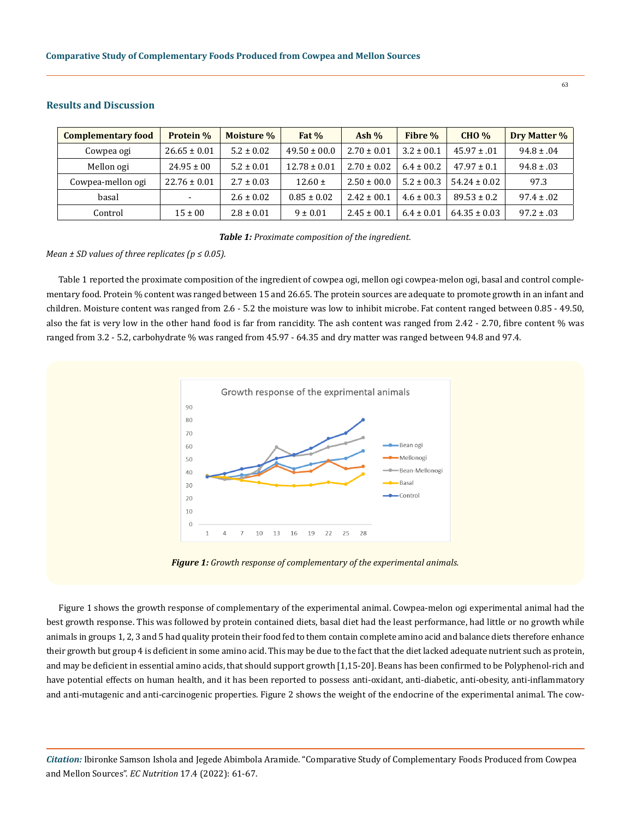| <b>Complementary food</b> | <b>Protein</b> %         | Moisture %     | Fat $%$          | Ash $%$         | Fibre %        | <b>CHO %</b>     | Dry Matter %   |
|---------------------------|--------------------------|----------------|------------------|-----------------|----------------|------------------|----------------|
| Cowpea ogi                | $26.65 \pm 0.01$         | $5.2 \pm 0.02$ | $49.50 \pm 00.0$ | $2.70 \pm 0.01$ | $3.2 \pm 0.01$ | $45.97 \pm .01$  | $94.8 \pm .04$ |
| Mellon ogi                | $24.95 \pm 00$           | $5.2 \pm 0.01$ | $12.78 \pm 0.01$ | $2.70 \pm 0.02$ | $6.4 \pm 00.2$ | $47.97 \pm 0.1$  | $94.8 \pm .03$ |
| Cowpea-mellon ogi         | $22.76 \pm 0.01$         | $2.7 \pm 0.03$ | $12.60 \pm$      | $2.50 \pm 00.0$ | $5.2 \pm 00.3$ | $54.24 \pm 0.02$ | 97.3           |
| basal                     | $\overline{\phantom{0}}$ | $2.6 \pm 0.02$ | $0.85 \pm 0.02$  | $2.42 \pm 0.01$ | $4.6 \pm 00.3$ | $89.53 \pm 0.2$  | $97.4 \pm .02$ |
| Control                   | $15 \pm 00$              | $2.8 \pm 0.01$ | $9 \pm 0.01$     | $2.45 \pm 00.1$ | $6.4 \pm 0.01$ | $64.35 \pm 0.03$ | $97.2 \pm .03$ |

## **Results and Discussion**

*Table 1: Proximate composition of the ingredient.*

## *Mean ± SD values of three replicates (p ≤ 0.05).*

Table 1 reported the proximate composition of the ingredient of cowpea ogi, mellon ogi cowpea-melon ogi, basal and control complementary food. Protein % content was ranged between 15 and 26.65. The protein sources are adequate to promote growth in an infant and children. Moisture content was ranged from 2.6 - 5.2 the moisture was low to inhibit microbe. Fat content ranged between 0.85 - 49.50, also the fat is very low in the other hand food is far from rancidity. The ash content was ranged from 2.42 - 2.70, fibre content % was ranged from 3.2 - 5.2, carbohydrate % was ranged from 45.97 - 64.35 and dry matter was ranged between 94.8 and 97.4.





Figure 1 shows the growth response of complementary of the experimental animal. Cowpea-melon ogi experimental animal had the best growth response. This was followed by protein contained diets, basal diet had the least performance, had little or no growth while animals in groups 1, 2, 3 and 5 had quality protein their food fed to them contain complete amino acid and balance diets therefore enhance their growth but group 4 is deficient in some amino acid. This may be due to the fact that the diet lacked adequate nutrient such as protein, and may be deficient in essential amino acids, that should support growth [1,15-20]. Beans has been confirmed to be Polyphenol-rich and have potential effects on human health, and it has been reported to possess anti-oxidant, anti-diabetic, anti-obesity, anti-inflammatory and anti-mutagenic and anti-carcinogenic properties. Figure 2 shows the weight of the endocrine of the experimental animal. The cow-

*Citation:* Ibironke Samson Ishola and Jegede Abimbola Aramide*.* "Comparative Study of Complementary Foods Produced from Cowpea and Mellon Sources". *EC Nutrition* 17.4 (2022): 61-67.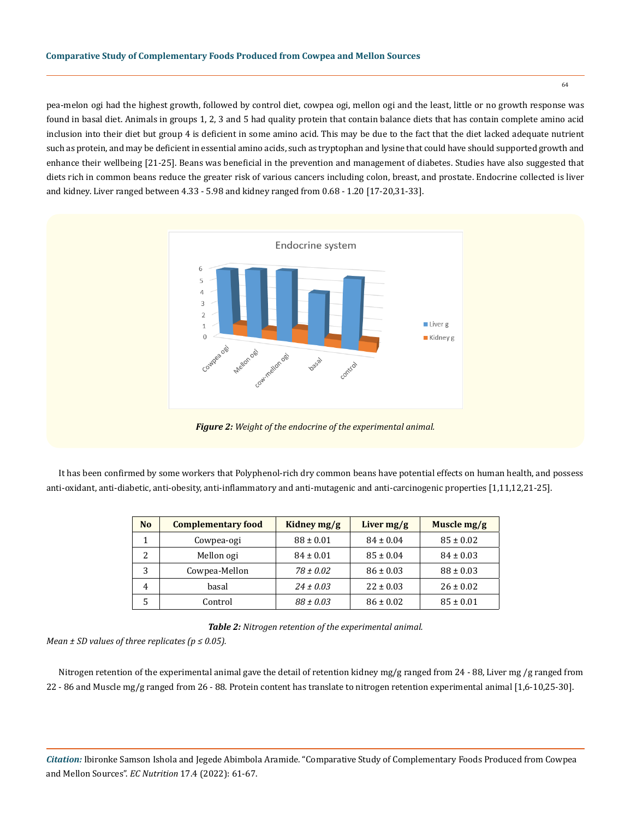pea-melon ogi had the highest growth, followed by control diet, cowpea ogi, mellon ogi and the least, little or no growth response was found in basal diet. Animals in groups 1, 2, 3 and 5 had quality protein that contain balance diets that has contain complete amino acid inclusion into their diet but group 4 is deficient in some amino acid. This may be due to the fact that the diet lacked adequate nutrient such as protein, and may be deficient in essential amino acids, such as tryptophan and lysine that could have should supported growth and enhance their wellbeing [21-25]. Beans was beneficial in the prevention and management of diabetes. Studies have also suggested that diets rich in common beans reduce the greater risk of various cancers including colon, breast, and prostate. Endocrine collected is liver and kidney. Liver ranged between 4.33 - 5.98 and kidney ranged from 0.68 - 1.20 [17-20,31-33].



It has been confirmed by some workers that Polyphenol-rich dry common beans have potential effects on human health, and possess anti-oxidant, anti-diabetic, anti-obesity, anti-inflammatory and anti-mutagenic and anti-carcinogenic properties [1,11,12,21-25].

| N <sub>o</sub> | <b>Complementary food</b> | Kidney mg/g   | Liver $mg/g$  | Muscle $mg/g$ |
|----------------|---------------------------|---------------|---------------|---------------|
|                | Cowpea-ogi                | $88 \pm 0.01$ | $84 \pm 0.04$ | $85 \pm 0.02$ |
| 2              | Mellon ogi                | $84 \pm 0.01$ | $85 \pm 0.04$ | $84 \pm 0.03$ |
| 3              | Cowpea-Mellon             | $78 \pm 0.02$ | $86 \pm 0.03$ | $88 \pm 0.03$ |
| 4              | basal                     | $24 \pm 0.03$ | $22 \pm 0.03$ | $26 \pm 0.02$ |
| 5              | Control                   | $88 \pm 0.03$ | $86 \pm 0.02$ | $85 \pm 0.01$ |

*Table 2: Nitrogen retention of the experimental animal.*

*Mean ± SD values of three replicates (p ≤ 0.05).*

Nitrogen retention of the experimental animal gave the detail of retention kidney mg/g ranged from 24 - 88, Liver mg /g ranged from 22 - 86 and Muscle mg/g ranged from 26 - 88. Protein content has translate to nitrogen retention experimental animal [1,6-10,25-30].

*Citation:* Ibironke Samson Ishola and Jegede Abimbola Aramide*.* "Comparative Study of Complementary Foods Produced from Cowpea and Mellon Sources". *EC Nutrition* 17.4 (2022): 61-67.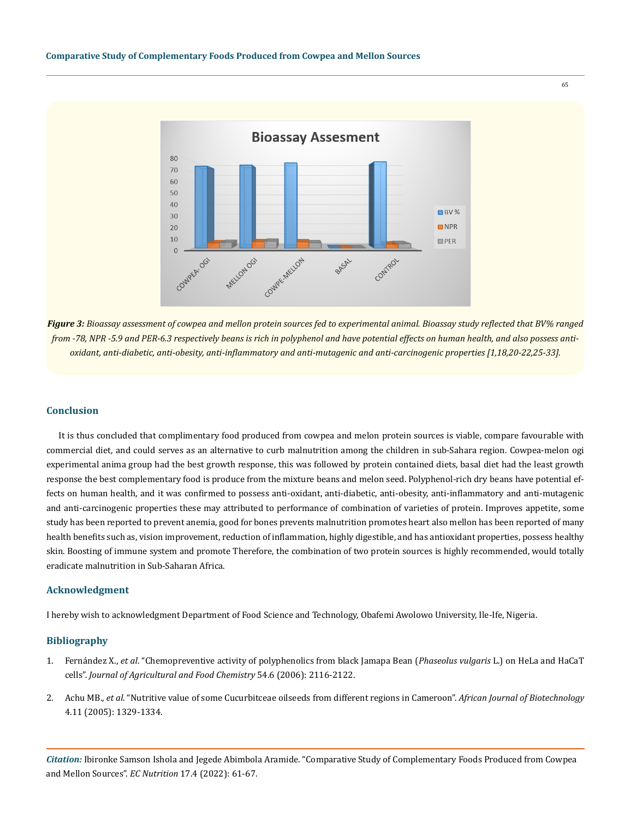

*Figure 3: Bioassay assessment of cowpea and mellon protein sources fed to experimental animal. Bioassay study reflected that BV% ranged from -78, NPR -5.9 and PER-6.3 respectively beans is rich in polyphenol and have potential effects on human health, and also possess antioxidant, anti-diabetic, anti-obesity, anti-inflammatory and anti-mutagenic and anti-carcinogenic properties [1,18,20-22,25-33].*

### **Conclusion**

It is thus concluded that complimentary food produced from cowpea and melon protein sources is viable, compare favourable with commercial diet, and could serves as an alternative to curb malnutrition among the children in sub-Sahara region. Cowpea-melon ogi experimental anima group had the best growth response, this was followed by protein contained diets, basal diet had the least growth response the best complementary food is produce from the mixture beans and melon seed. Polyphenol-rich dry beans have potential effects on human health, and it was confirmed to possess anti-oxidant, anti-diabetic, anti-obesity, anti-inflammatory and anti-mutagenic and anti-carcinogenic properties these may attributed to performance of combination of varieties of protein. Improves appetite, some study has been reported to prevent anemia, good for bones prevents malnutrition promotes heart also mellon has been reported of many health benefits such as, vision improvement, reduction of inflammation, highly digestible, and has antioxidant properties, possess healthy skin. Boosting of immune system and promote Therefore, the combination of two protein sources is highly recommended, would totally eradicate malnutrition in Sub-Saharan Africa.

#### **Acknowledgment**

I hereby wish to acknowledgment Department of Food Science and Technology, Obafemi Awolowo University, Ile-Ife, Nigeria.

### **Bibliography**

- 1. Fernández X., *et al*[. "Chemopreventive activity of polyphenolics from black Jamapa Bean \(](https://pubmed.ncbi.nlm.nih.gov/16536584/)*Phaseolus vulgaris* L.) on HeLa and HaCaT cells". *[Journal of Agricultural and Food Chemistry](https://pubmed.ncbi.nlm.nih.gov/16536584/)* 54.6 (2006): 2116-2122.
- 2. Achu MB., *et al*[. "Nutritive value of some Cucurbitceae oilseeds from different regions in Cameroon".](https://www.researchgate.net/publication/242203679_Nutritive_value_of_some_Cucurbitaceae_oilseeds_from_different_regions_in_Cameroon) *African Journal of Biotechnology*  [4.11 \(2005\): 1329-1334.](https://www.researchgate.net/publication/242203679_Nutritive_value_of_some_Cucurbitaceae_oilseeds_from_different_regions_in_Cameroon)

*Citation:* Ibironke Samson Ishola and Jegede Abimbola Aramide*.* "Comparative Study of Complementary Foods Produced from Cowpea and Mellon Sources". *EC Nutrition* 17.4 (2022): 61-67.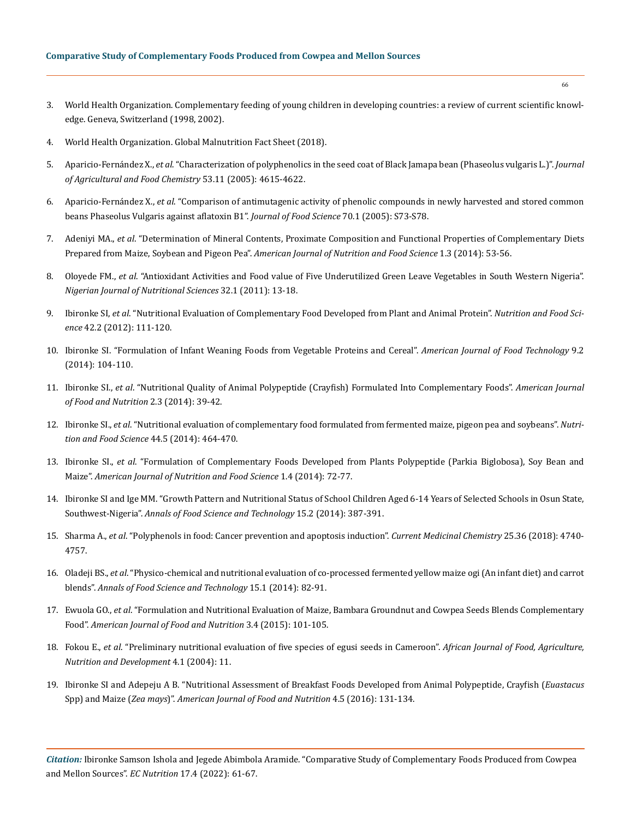- 3. [World Health Organization. Complementary feeding of young children in developing countries: a review of current scientific knowl](https://apps.who.int/iris/handle/10665/65932)[edge. Geneva, Switzerland \(1998, 2002\).](https://apps.who.int/iris/handle/10665/65932)
- 4. [World Health Organization. Global Malnutrition Fact Sheet \(2018\).](https://www.who.int/news-room/fact-sheets/detail/malnutrition)
- 5. Aparicio-Fernández X., *et al*[. "Characterization of polyphenolics in the seed coat of Black Jamapa bean \(Phaseolus vulgaris L.\)".](https://pubmed.ncbi.nlm.nih.gov/15913334/) *Journal [of Agricultural and Food Chemistry](https://pubmed.ncbi.nlm.nih.gov/15913334/)* 53.11 (2005): 4615-4622.
- 6. Aparicio-Fernández X., *et al*[. "Comparison of antimutagenic activity of phenolic compounds in newly harvested and stored common](https://www.researchgate.net/publication/227581600_Comparison_of_Antimutagenic_Activity_of_Phenolic_Compounds_in_Newly_Harvested_and_Stored_Common_Beans_Phaseolus_vulgaris_against_Aflatoxin_B1)  [beans Phaseolus Vulgaris against aflatoxin B1".](https://www.researchgate.net/publication/227581600_Comparison_of_Antimutagenic_Activity_of_Phenolic_Compounds_in_Newly_Harvested_and_Stored_Common_Beans_Phaseolus_vulgaris_against_Aflatoxin_B1) *Journal of Food Science* 70.1 (2005): S73-S78.
- 7. Adeniyi MA., *et al*[. "Determination of Mineral Contents, Proximate Composition and Functional Properties of Complementary Diets](https://citeseerx.ist.psu.edu/viewdoc/download?doi=10.1.1.653.8004&rep=rep1&type=pdf)  Prepared from Maize, Soybean and Pigeon Pea". *[American Journal of Nutrition and Food Science](https://citeseerx.ist.psu.edu/viewdoc/download?doi=10.1.1.653.8004&rep=rep1&type=pdf)* 1.3 (2014): 53-56.
- 8. Oloyede FM., *et al*[. "Antioxidant Activities and Food value of Five Underutilized Green Leave Vegetables in South Western Nigeria".](https://www.ajol.info/index.php/njns/article/view/67802)  *Nigerian [Journal of Nutritional](https://www.ajol.info/index.php/njns/article/view/67802) Sciences* 32.1 (2011): 13-18.
- 9. Ibironke SI, *et al*[. "Nutritional Evaluation of Complementary Food Developed from Plant and Animal Protein".](https://www.emerald.com/insight/content/doi/10.1108/00346651211212079/full/html) *Nutrition and Food Science* [42.2 \(2012\): 111-120.](https://www.emerald.com/insight/content/doi/10.1108/00346651211212079/full/html)
- 10. [Ibironke SI. "Formulation of Infant Weaning Foods from Vegetable Proteins and Cereal".](https://scialert.net/fulltext/?doi=ajft.2014.104.110) *American Journal of Food Technology* 9.2 [\(2014\): 104-110.](https://scialert.net/fulltext/?doi=ajft.2014.104.110)
- 11. Ibironke SI., *et al*[. "Nutritional Quality of Animal Polypeptide \(Crayfish\) Formulated Into Complementary Foods".](http://www.sciepub.com/ajfn/abstract/2216) *American Journal [of Food and Nutrition](http://www.sciepub.com/ajfn/abstract/2216)* 2.3 (2014): 39-42.
- 12. Ibironke SI., *et al*[. "Nutritional evaluation of complementary food formulated from fermented maize, pigeon pea and soybeans".](https://www.emerald.com/insight/content/doi/10.1108/NFS-02-2013-0029/full/html) *Nutri[tion and Food Science](https://www.emerald.com/insight/content/doi/10.1108/NFS-02-2013-0029/full/html)* 44.5 (2014): 464-470.
- 13. Ibironke SI., *et al*[. "Formulation of Complementary Foods Developed from Plants Polypeptide \(Parkia Biglobosa\), Soy Bean and](https://www.sciencegate.app/document/10.12966/ajnfs.10.01.2014)  Maize". *[American Journal of Nutrition and Food Science](https://www.sciencegate.app/document/10.12966/ajnfs.10.01.2014)* 1.4 (2014): 72-77.
- 14. [Ibironke SI and Ige MM. "Growth Pattern and Nutritional Status of School Children Aged 6-14 Years of Selected Schools in Osun State,](https://www.semanticscholar.org/paper/GROWTH-PATTERN-AND-NUTRITIONAL-STATUS-OF-SCHOOL-OF-Ibironke-Ige/b0c04c09ebcb2950e597beb1ca825e3fc33fe62c)  Southwest-Nigeria". *[Annals of Food Science and Technology](https://www.semanticscholar.org/paper/GROWTH-PATTERN-AND-NUTRITIONAL-STATUS-OF-SCHOOL-OF-Ibironke-Ige/b0c04c09ebcb2950e597beb1ca825e3fc33fe62c)* 15.2 (2014): 387-391.
- 15. Sharma A., *et al*[. "Polyphenols in food: Cancer prevention and apoptosis induction".](https://pubmed.ncbi.nlm.nih.gov/28990504/) *Current Medicinal Chemistry* 25.36 (2018): 4740- [4757.](https://pubmed.ncbi.nlm.nih.gov/28990504/)
- 16. Oladeji BS., *et al*[. "Physico-chemical and nutritional evaluation of co-processed fermented yellow maize ogi \(An infant diet\) and carrot](https://www.academia.edu/23337243/PHYSICO_CHEMICAL_AND_NUTRITIONAL_EVALUATION_OF_CO_PROCESSED_FERMENTED_YELLOW_MAIZE_OGI_AN_INFANT_DIET_AND_CARROT_BLENDS)  blends". *[Annals of Food Science and Technology](https://www.academia.edu/23337243/PHYSICO_CHEMICAL_AND_NUTRITIONAL_EVALUATION_OF_CO_PROCESSED_FERMENTED_YELLOW_MAIZE_OGI_AN_INFANT_DIET_AND_CARROT_BLENDS)* 15.1 (2014): 82-91.
- 17. Ewuola GO., *et al*[. "Formulation and Nutritional Evaluation of Maize, Bambara Groundnut and Cowpea Seeds Blends Complementary](http://pubs.sciepub.com/ajfn/3/4/2/)  Food". *[American Journal of Food and Nutrition](http://pubs.sciepub.com/ajfn/3/4/2/)* 3.4 (2015): 101-105.
- 18. Fokou E., *et al*[. "Preliminary nutritional evaluation of five species of egusi seeds in Cameroon".](https://www.ajol.info/index.php/ajfand/article/view/19151/0) *African Journal of Food, Agriculture, [Nutrition and Development](https://www.ajol.info/index.php/ajfand/article/view/19151/0)* 4.1 (2004): 11.
- 19. [Ibironke SI and Adepeju A B. "Nutritional Assessment of Breakfast Foods Developed from Animal Polypeptide, Crayfish \(](http://pubs.sciepub.com/ajfn/4/5/3/)*Euastacus* Spp) and Maize (*Zea mays*)". *[American Journal of Food and Nutrition](http://pubs.sciepub.com/ajfn/4/5/3/)* 4.5 (2016): 131-134.

*Citation:* Ibironke Samson Ishola and Jegede Abimbola Aramide*.* "Comparative Study of Complementary Foods Produced from Cowpea and Mellon Sources". *EC Nutrition* 17.4 (2022): 61-67.